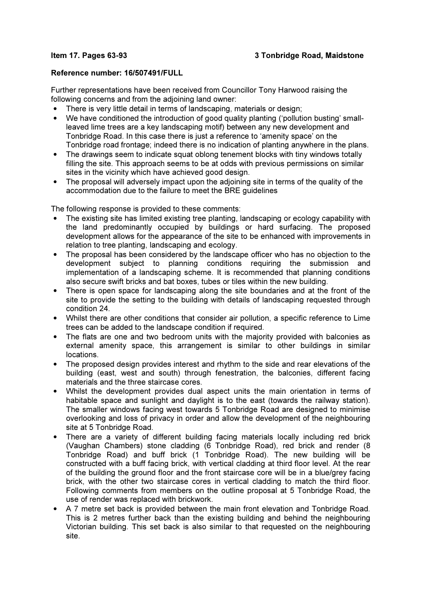## Reference number: 16/507491/FULL

Further representations have been received from Councillor Tony Harwood raising the following concerns and from the adjoining land owner:

- There is very little detail in terms of landscaping, materials or design;
- We have conditioned the introduction of good quality planting ('pollution busting' smallleaved lime trees are a key landscaping motif) between any new development and Tonbridge Road. In this case there is just a reference to 'amenity space' on the Tonbridge road frontage; indeed there is no indication of planting anywhere in the plans.
- The drawings seem to indicate squat oblong tenement blocks with tiny windows totally filling the site. This approach seems to be at odds with previous permissions on similar sites in the vicinity which have achieved good design.
- The proposal will adversely impact upon the adjoining site in terms of the quality of the accommodation due to the failure to meet the BRE guidelines

The following response is provided to these comments:

- The existing site has limited existing tree planting, landscaping or ecology capability with the land predominantly occupied by buildings or hard surfacing. The proposed development allows for the appearance of the site to be enhanced with improvements in relation to tree planting, landscaping and ecology.
- The proposal has been considered by the landscape officer who has no objection to the development subject to planning conditions requiring the submission and implementation of a landscaping scheme. It is recommended that planning conditions also secure swift bricks and bat boxes, tubes or tiles within the new building.
- There is open space for landscaping along the site boundaries and at the front of the site to provide the setting to the building with details of landscaping requested through condition 24.
- Whilst there are other conditions that consider air pollution, a specific reference to Lime trees can be added to the landscape condition if required.
- The flats are one and two bedroom units with the majority provided with balconies as external amenity space, this arrangement is similar to other buildings in similar **locations**
- The proposed design provides interest and rhythm to the side and rear elevations of the building (east, west and south) through fenestration, the balconies, different facing materials and the three staircase cores.
- Whilst the development provides dual aspect units the main orientation in terms of habitable space and sunlight and daylight is to the east (towards the railway station). The smaller windows facing west towards 5 Tonbridge Road are designed to minimise overlooking and loss of privacy in order and allow the development of the neighbouring site at 5 Tonbridge Road.
- There are a variety of different building facing materials locally including red brick (Vaughan Chambers) stone cladding (6 Tonbridge Road), red brick and render (8 Tonbridge Road) and buff brick (1 Tonbridge Road). The new building will be constructed with a buff facing brick, with vertical cladding at third floor level. At the rear of the building the ground floor and the front staircase core will be in a blue/grey facing brick, with the other two staircase cores in vertical cladding to match the third floor. Following comments from members on the outline proposal at 5 Tonbridge Road, the use of render was replaced with brickwork.
- A 7 metre set back is provided between the main front elevation and Tonbridge Road. This is 2 metres further back than the existing building and behind the neighbouring Victorian building. This set back is also similar to that requested on the neighbouring site.